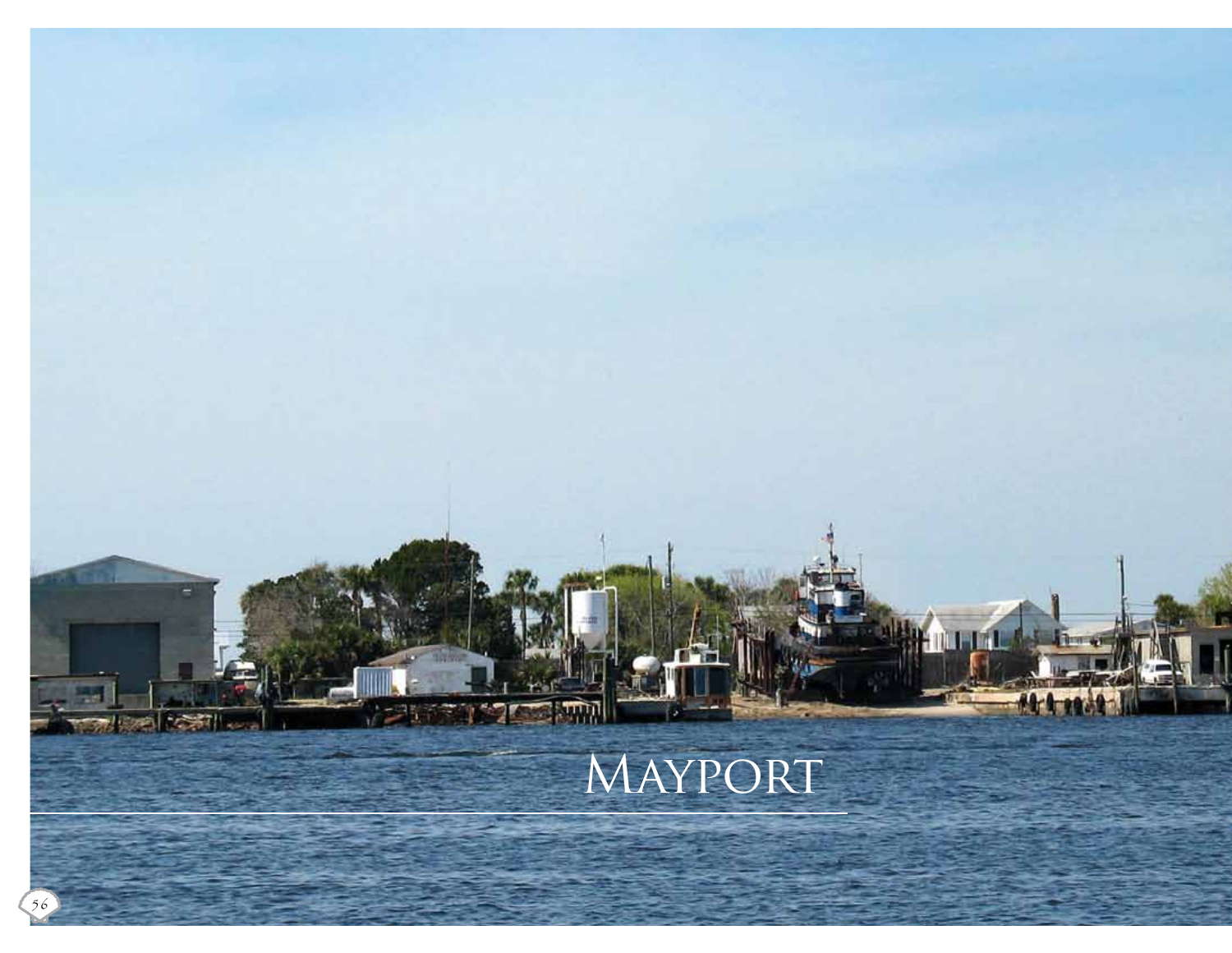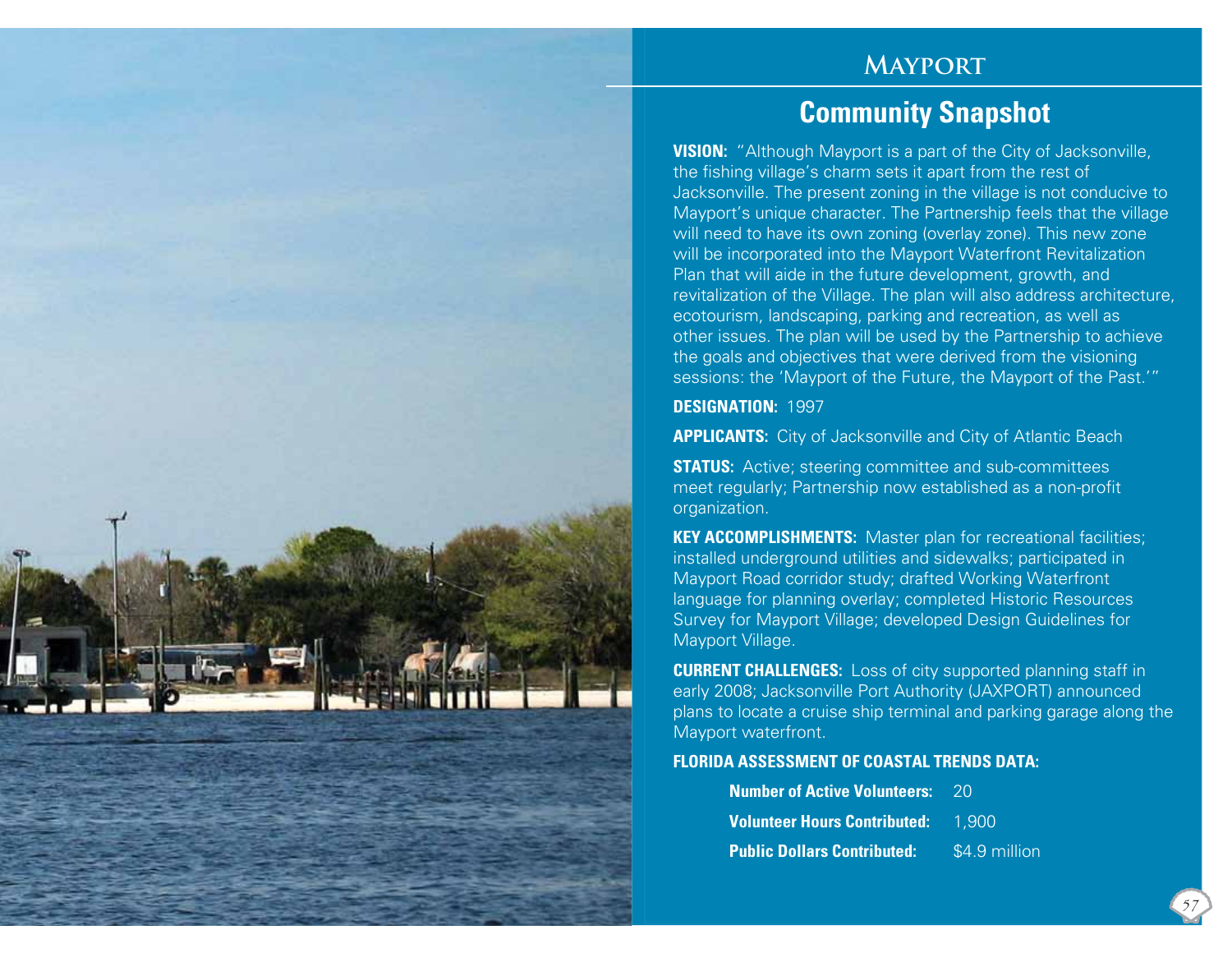# **Mayport**

# **Community Snapshot**

**VISION:** "Although Mayport is a part of the City of Jacksonville, the fishing village's charm sets it apart from the rest of Jacksonville. The present zoning in the village is not conducive to Mayport's unique character. The Partnership feels that the village will need to have its own zoning (overlay zone). This new zone will be incorporated into the Mayport Waterfront Revitalization Plan that will aide in the future development, growth, and revitalization of the Village. The plan will also address architecture, ecotourism, landscaping, parking and recreation, as well as other issues. The plan will be used by the Partnership to achieve the goals and objectives that were derived from the visioning sessions: the 'Mayport of the Future, the Mayport of the Past.'"

#### **DESIGNATION:** 1997

**APPLICANTS:** City of Jacksonville and City of Atlantic Beach

**STATUS:** Active; steering committee and sub-committees meet regularly; Partnership now established as a non-profit organization.

**KEY ACCOMPLISHMENTS:** Master plan for recreational facilities; installed underground utilities and sidewalks; participated in Mayport Road corridor study; drafted Working Waterfront language for planning overlay; completed Historic Resources Survey for Mayport Village; developed Design Guidelines for Mayport Village.

**CURRENT CHALLENGES:** Loss of city supported planning staff in early 2008; Jacksonville Port Authority (JAXPORT) announced plans to locate a cruise ship terminal and parking garage along the Mayport waterfront.

#### **FLORIDA ASSESSMENT OF COASTAL TRENDS DATA:**

| <b>Number of Active Volunteers: 20</b>    |               |
|-------------------------------------------|---------------|
| <b>Volunteer Hours Contributed:</b> 1.900 |               |
| <b>Public Dollars Contributed:</b>        | \$4.9 million |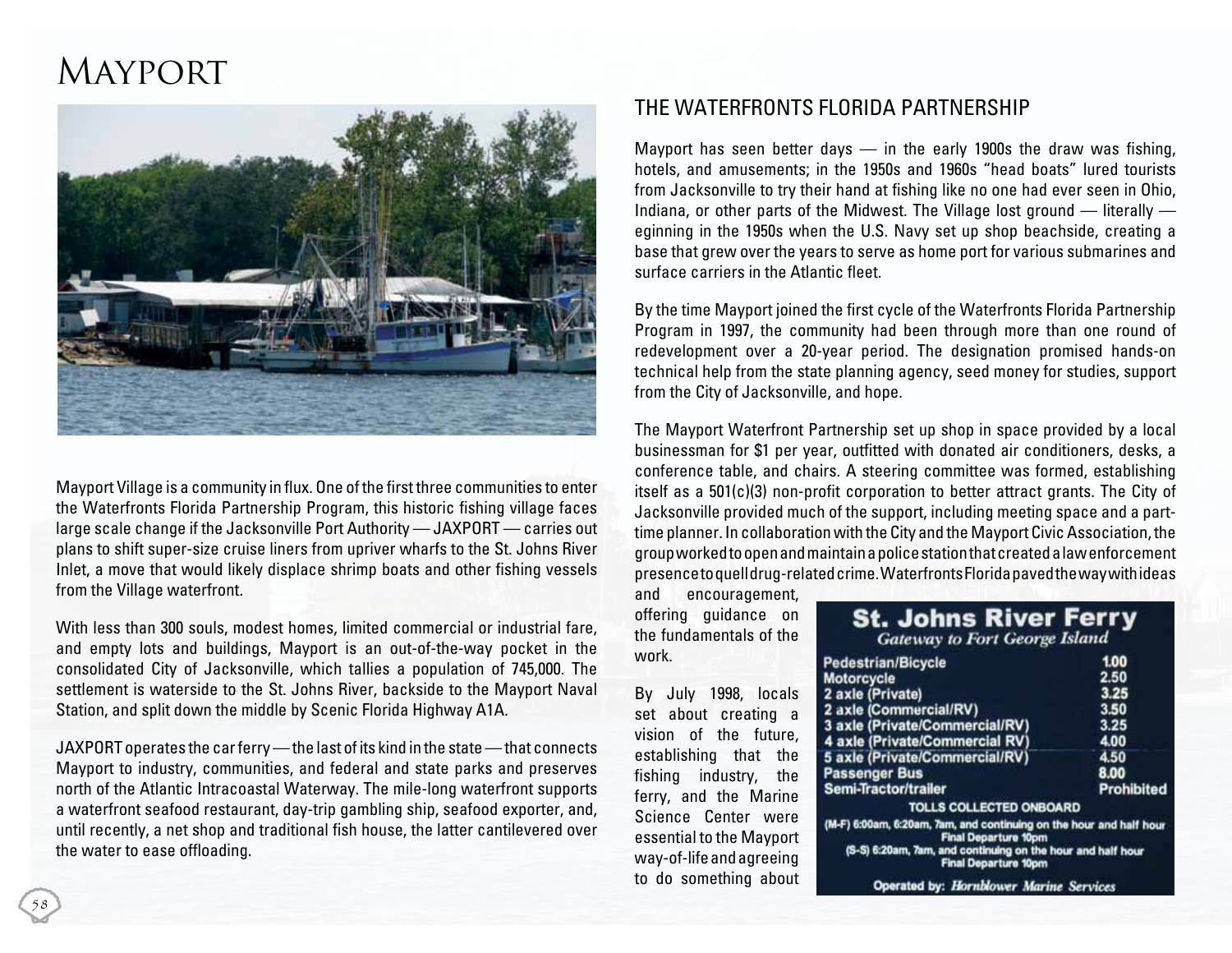# **MAYPORT**



Mayport Village is a community in flux. One of the first three communities to enter the Waterfronts Florida Partnership Program, this historic fishing village faces large scale change if the Jacksonville Port Authority — JAXPORT — carries out plans to shift super-size cruise liners from upriver wharfs to the St. Johns River Inlet, a move that would likely displace shrimp boats and other fishing vessels from the Village waterfront.

With less than 300 souls, modest homes, limited commercial or industrial fare, and empty lots and buildings, Mayport is an out-of-the-way pocket in the consolidated City of Jacksonville, which tallies a population of 745,000. The settlement is waterside to the St. Johns River, backside to the Mayport Naval Station, and split down the middle by Scenic Florida Highway A1A.

JAXPORT operates the car ferry — the last of its kind in the state — that connects Mayport to industry, communities, and federal and state parks and preserves north of the Atlantic Intracoastal Waterway. The mile-long waterfront supports a waterfront seafood restaurant, day-trip gambling ship, seafood exporter, and, until recently, a net shop and traditional fish house, the latter cantilevered over the water to ease offloading.

## THE WATERFRONTS FLORIDA PARTNERSHIP

Mayport has seen better days  $-$  in the early 1900s the draw was fishing, hotels, and amusements; in the 1950s and 1960s "head boats" lured tourists from Jacksonville to try their hand at fishing like no one had ever seen in Ohio, Indiana, or other parts of the Midwest. The Village lost ground — literally eginning in the 1950s when the U.S. Navy set up shop beachside, creating a base that grew over the years to serve as home port for various submarines and surface carriers in the Atlantic fleet.

By the time Mayport joined the first cycle of the Waterfronts Florida Partnership Program in 1997, the community had been through more than one round of redevelopment over a 20-year period. The designation promised hands-on technical help from the state planning agency, seed money for studies, support from the City of Jacksonville, and hope.

The Mayport Waterfront Partnership set up shop in space provided by a local businessman for \$1 per year, outfitted with donated air conditioners, desks, a conference table, and chairs. A steering committee was formed, establishing itself as a 501(c)(3) non-profit corporation to better attract grants. The City of Jacksonville provided much of the support, including meeting space and a parttime planner. In collaboration with the City and the Mayport Civic Association, the group worked to open and maintain a police station that created a law enforcement presence to quell drug-related crime. Waterfronts Florida paved the way with ideas

and encouragement, offering guidance on the fundamentals of the work.

By July 1998, locals set about creating a vision of the future, establishing that the fishing industry, the ferry, and the Marine Science Center were essential to the Mayport way-of-life and agreeing to do something about

| <b>St. Johns River Ferry</b>         |      |
|--------------------------------------|------|
| <b>Gateway to Fort George Island</b> |      |
| destrian/Bicycle                     | 1.00 |
| torcycle                             | 2.50 |

| Motorcycle                                                                                         | 2.50              |
|----------------------------------------------------------------------------------------------------|-------------------|
| 2 axle (Private)                                                                                   | 3.25              |
| 2 axle (Commercial/RV)                                                                             | 3.50              |
| 3 axle (Private/Commercial/RV)                                                                     | 3.25              |
| 4 axle (Private/Commercial RV)                                                                     | 4.00              |
| 5 axle (Private/Commercial/RV)                                                                     | 4.50              |
| <b>Passenger Bus</b>                                                                               | 8.00              |
| Semi-Tractor/trailer                                                                               | <b>Prohibited</b> |
| <b>TOLLS COLLECTED ONBOARD</b>                                                                     |                   |
| (M-F) 6:00am, 6:20am, 7am, and continuing on the hour and half hour<br><b>Final Departure 10pm</b> |                   |
| (S-S) 6:20am, 7am, and continuing on the hour and half hour<br><b>Final Departure 10pm</b>         |                   |
| and here. He well expect the form Ormstein                                                         |                   |